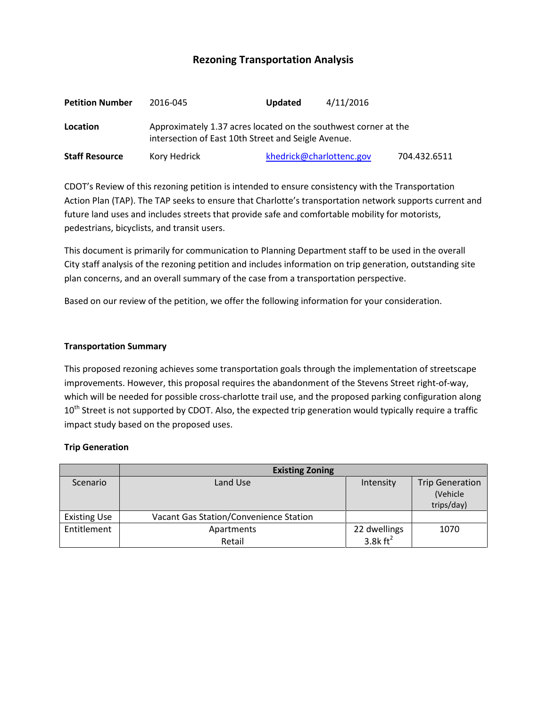# **Rezoning Transportation Analysis**

| <b>Petition Number</b> | 2016-045                                                                                                               | 4/11/2016<br>Updated     |              |  |  |
|------------------------|------------------------------------------------------------------------------------------------------------------------|--------------------------|--------------|--|--|
| Location               | Approximately 1.37 acres located on the southwest corner at the<br>intersection of East 10th Street and Seigle Avenue. |                          |              |  |  |
| <b>Staff Resource</b>  | Kory Hedrick                                                                                                           | khedrick@charlottenc.gov | 704.432.6511 |  |  |

CDOT's Review of this rezoning petition is intended to ensure consistency with the Transportation Action Plan (TAP). The TAP seeks to ensure that Charlotte's transportation network supports current and future land uses and includes streets that provide safe and comfortable mobility for motorists, pedestrians, bicyclists, and transit users.

This document is primarily for communication to Planning Department staff to be used in the overall City staff analysis of the rezoning petition and includes information on trip generation, outstanding site plan concerns, and an overall summary of the case from a transportation perspective.

Based on our review of the petition, we offer the following information for your consideration.

#### **Transportation Summary**

This proposed rezoning achieves some transportation goals through the implementation of streetscape improvements. However, this proposal requires the abandonment of the Stevens Street right-of-way, which will be needed for possible cross-charlotte trail use, and the proposed parking configuration along  $10<sup>th</sup>$  Street is not supported by CDOT. Also, the expected trip generation would typically require a traffic impact study based on the proposed uses.

#### **Trip Generation**

|                     | <b>Existing Zoning</b>                 |                                      |                                                   |  |
|---------------------|----------------------------------------|--------------------------------------|---------------------------------------------------|--|
| Scenario            | Land Use                               | Intensity                            | <b>Trip Generation</b><br>(Vehicle)<br>trips/day) |  |
| <b>Existing Use</b> | Vacant Gas Station/Convenience Station |                                      |                                                   |  |
| Entitlement         | Apartments<br>Retail                   | 22 dwellings<br>3.8 $k \text{ ft}^2$ | 1070                                              |  |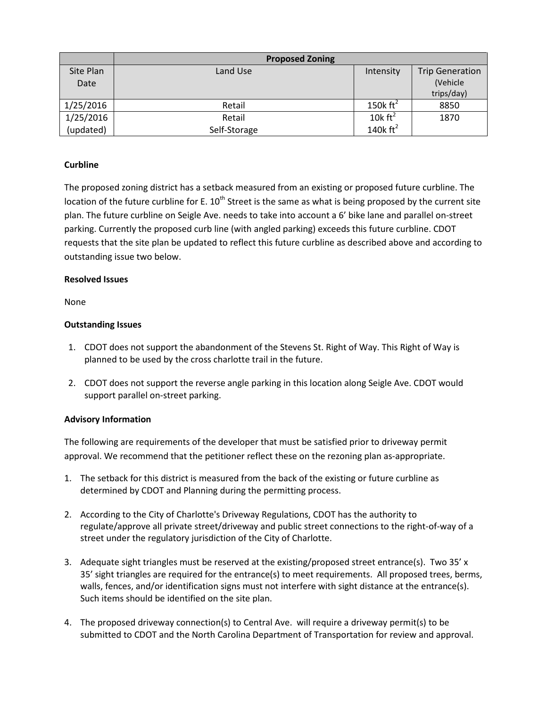|           | <b>Proposed Zoning</b> |                      |                        |
|-----------|------------------------|----------------------|------------------------|
| Site Plan | Land Use               | Intensity            | <b>Trip Generation</b> |
| Date      |                        |                      | (Vehicle)              |
|           |                        |                      | trips/day)             |
| 1/25/2016 | Retail                 | 150 $k \text{ ft}^2$ | 8850                   |
| 1/25/2016 | Retail                 | 10 $k \text{ ft}^2$  | 1870                   |
| (updated) | Self-Storage           | 140 $k \text{ ft}^2$ |                        |

## **Curbline**

The proposed zoning district has a setback measured from an existing or proposed future curbline. The location of the future curbline for E.  $10^{th}$  Street is the same as what is being proposed by the current site plan. The future curbline on Seigle Ave. needs to take into account a 6' bike lane and parallel on-street parking. Currently the proposed curb line (with angled parking) exceeds this future curbline. CDOT requests that the site plan be updated to reflect this future curbline as described above and according to outstanding issue two below.

#### **Resolved Issues**

None

### **Outstanding Issues**

- 1. CDOT does not support the abandonment of the Stevens St. Right of Way. This Right of Way is planned to be used by the cross charlotte trail in the future.
- 2. CDOT does not support the reverse angle parking in this location along Seigle Ave. CDOT would support parallel on-street parking.

## **Advisory Information**

The following are requirements of the developer that must be satisfied prior to driveway permit approval. We recommend that the petitioner reflect these on the rezoning plan as-appropriate.

- 1. The setback for this district is measured from the back of the existing or future curbline as determined by CDOT and Planning during the permitting process.
- 2. According to the City of Charlotte's Driveway Regulations, CDOT has the authority to regulate/approve all private street/driveway and public street connections to the right-of-way of a street under the regulatory jurisdiction of the City of Charlotte.
- 3. Adequate sight triangles must be reserved at the existing/proposed street entrance(s). Two 35' x 35' sight triangles are required for the entrance(s) to meet requirements. All proposed trees, berms, walls, fences, and/or identification signs must not interfere with sight distance at the entrance(s). Such items should be identified on the site plan.
- 4. The proposed driveway connection(s) to Central Ave. will require a driveway permit(s) to be submitted to CDOT and the North Carolina Department of Transportation for review and approval.